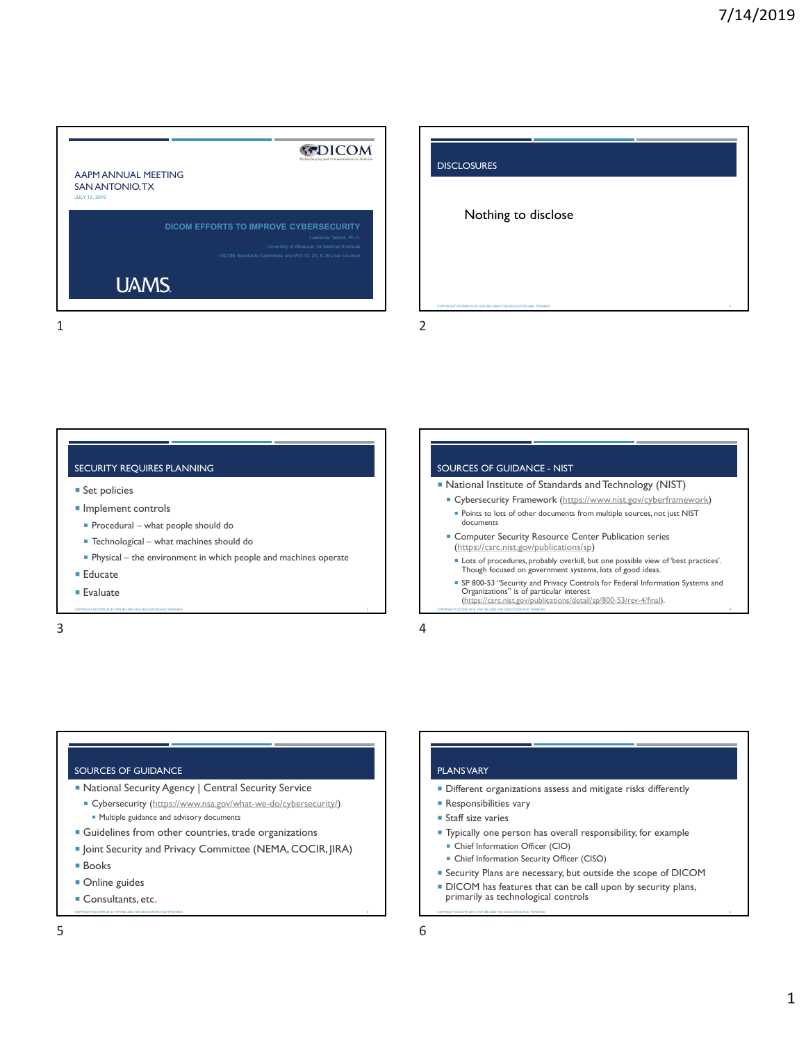# AAPM ANNUAL MEETING SAN ANTONIO, TX JULY 15, 2019 DICOM EFFORTS TO IMPROVE CYBERSECURITY Lawrence Tarbox, Ph.D. **Example 1** and the state of the state of the state of the state of the state of the state of the state of the state of the state of the state of the state of the state of the state of the state of t

|                                                                                                                                                                                               | 7/14/2019                                                                                                                                                                                                                                                                                                                                                                                                                                               |
|-----------------------------------------------------------------------------------------------------------------------------------------------------------------------------------------------|---------------------------------------------------------------------------------------------------------------------------------------------------------------------------------------------------------------------------------------------------------------------------------------------------------------------------------------------------------------------------------------------------------------------------------------------------------|
|                                                                                                                                                                                               |                                                                                                                                                                                                                                                                                                                                                                                                                                                         |
| <b>KTDICOM</b><br>AAPM ANNUAL MEETING<br>SAN ANTONIO, TX<br><b>JULY 15, 2019</b>                                                                                                              | <b>DISCLOSURES</b>                                                                                                                                                                                                                                                                                                                                                                                                                                      |
| DICOM EFFORTS TO IMPROVE CYBERSECURITY<br>Lawrence Tarbox, Ph.D.<br>University of Arkansas for Medical Sciences<br>DICOM Standards Committee and WG 14, 23, & 29 User Co-chair<br><b>UAMS</b> | Nothing to disclose                                                                                                                                                                                                                                                                                                                                                                                                                                     |
|                                                                                                                                                                                               | COPYRIGHT DICOMB 2018 - MAY BE USED FOR EDUCATION AND TH<br>$\overline{2}$                                                                                                                                                                                                                                                                                                                                                                              |
|                                                                                                                                                                                               |                                                                                                                                                                                                                                                                                                                                                                                                                                                         |
| SECURITY REQUIRES PLANNING<br>• Set policies<br>Implement controls<br>Procedural - what people should do                                                                                      | SOURCES OF GUIDANCE - NIST<br>• National Institute of Standards and Technology (NIST)<br>• Cybersecurity Framework (https://www.nist.gov/cyberframework)<br>· Points to lots of other documents from multiple sources, not just NIST<br>documents<br>Computer Security Resource Center Publication series                                                                                                                                               |
| ■ Technological - what machines should do<br>Physical - the environment in which people and machines operate<br>■ Educate<br><b>Evaluate</b><br>TOLOOMB 2018 LHAY BELIS                       | (https://csrc.nist.gov/publications/sp)<br>Lots of procedures, probably overkill, but one possible view of 'best practices'.<br>Though focused on government systems, lots of good ideas.<br>SP 800-53 "Security and Privacy Controls for Federal Information Systems and<br>Organizations" is of particular interest<br>(https://csrc.nist.gov/publications/detail/sp/800-53/rev-4/final).<br><b>MIR 2018 - MAY BE USED FOR EDUCATION AND TRAINING</b> |
| 3                                                                                                                                                                                             | 4                                                                                                                                                                                                                                                                                                                                                                                                                                                       |
|                                                                                                                                                                                               |                                                                                                                                                                                                                                                                                                                                                                                                                                                         |

#### SECURITY REQUIRES PLANNING **Example 20 and 20 and 20 and 20 and 20 and 20 and 20 and 20 and 20 and 20 and 20 and 20 and 20 and 20 and 20 and 20 and 20 and 20 and 20 and 20 and 20 and 20 and 20 and 20 and 20 and 20 and 20 a**

- **Set policies**
- **Implement controls** 
	-
	-
	-
- 
- 
- 

- National Institute of Standards and Technology (NIST)
	- **Cybersecurity Framework** (https://www.nist.gov/cyberframework) Points to lots of other documents from multiple sources, not just NIST documents
- **EX Computer Security Resource Center Publication series** (https://csrc.nist.gov/publications/sp)
- Lots of procedures, probably overkill, but one possible view of 'best practices'. Though focused on government systems, lots of good ideas.
- SP 800-53 ''Security and Privacy Controls for Federal Information Systems and<br>Organizations'' is of particular interest Factuate Research (Excepts and the Consultants, etc. Consultants, etc. Consultants, etc. Consultants, etc. Consultants, etc. Consultants, etc. Consultants, etc. Consultants, etc. Consultants, etc. Consultants, etc. Consul Primarily as technological controls Correct and primarily and primarily controls for Federal Information Systems and<br>
Controls Copyrightesis Copyrightesis Copyrightesis Copyrightesis (and the computation of the computation

#### SOURCES OF GUIDANCE

- National Security Agency | Central Security Service
- Cybersecurity (https://www.nsa.gov/what-we-do/cybersecurity/) **Multiple guidance and advisory documents** SOURCES OF GUIDANCE<br>
SOURCES OF GUIDANCE<br>
SAURE OF THIS SCUIP ASSEMENT ON THE SECURE OF THIS SCUIP ACTION OF THE SECURE AND SOLUTION OF THE SECURE AND SOLUTION OF THE SECURE AND SOLUTION OF THE SECURE AND SOLUTION OF THE S
	- **Guidelines from other countries, trade organizations**
	- Joint Security and Privacy Committee (NEMA, COCIR, JIRA)
	- Books
	- **Online** guides
	-

## PLANS VARY

- **Different organizations assess and mitigate risks differently**
- **Responsibilities vary**
- Staff size varies
- Typically one person has overall responsibility, for example
- Chief Information Officer (CIO)
- **-** Chief Information Security Officer (CISO)
- Security Plans are necessary, but outside the scope of DICOM
- **DICOM** has features that can be call upon by security plans, primarily as technological controls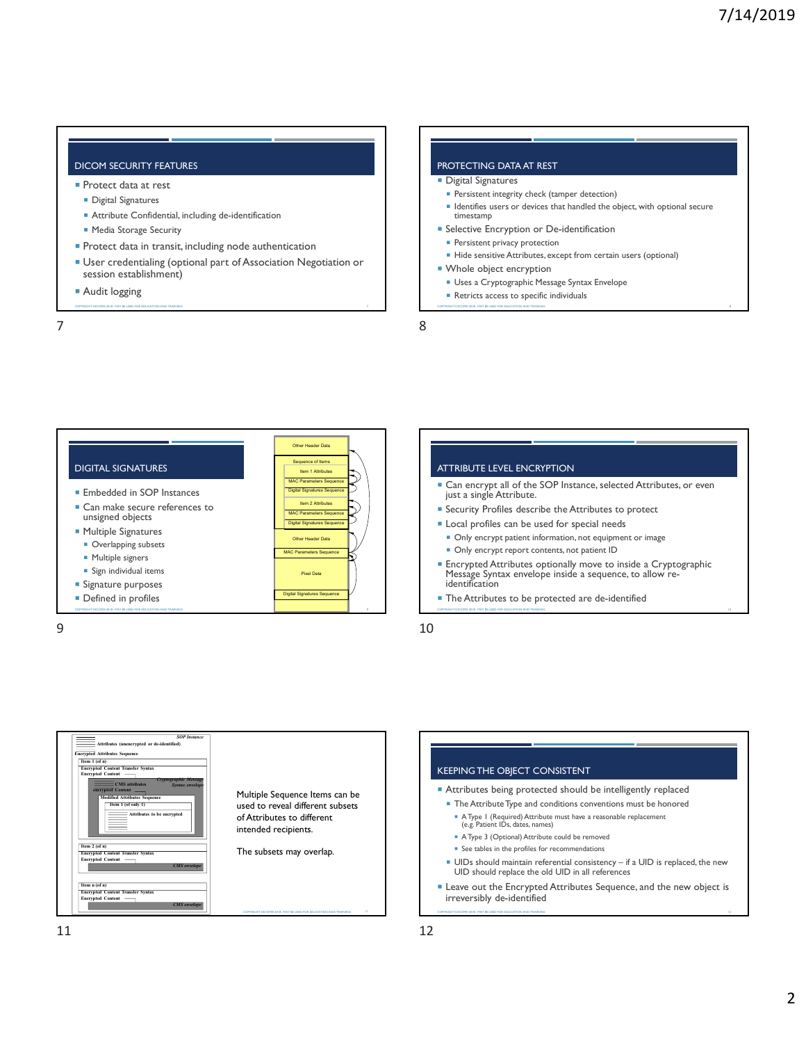## DICOM SECURITY FEATURES

- **Protect data at rest** 
	- **Digital Signatures**
	- Attribute Confidential, including de-identification
	- **Media Storage Security**
- **Protect data in transit, including node authentication**
- User credentialing (optional part of Association Negotiation or session establishment)  $\begin{array}{|l|l|}\n\hline\n\text{DICOH SECLRITY FEXTURES}\n\hline\n\end{array}\n\begin{array}{|l|l|}\n\hline\n\end{array}\n\hline\n\begin{array}{|l|l|}\n\hline\n\end{array}\n\hline\n\begin{array}{|l|l|}\n\hline\n\end{array}\n\hline\n\begin{array}{|l|l|}\n\hline\n\end{array}\n\hline\n\begin{array}{|l|l|}\n\hline\n\end{array}\n\hline\n\begin{array}{|l|l|}\n\hline\n\end{array}\n\hline\n\begin{array}{|l|l|}\n\hline\n\end{array}\n$ 7 8
	-

#### PROTECTING DATA AT REST

#### **Digital Signatures**

- **Persistent integrity check (tamper detection)**
- **IDENT** Identifies users or devices that handled the object, with optional secure timestamp 7/14/2019<br>
RETRICTING DATA AT REST<br>
FDigital Signatures<br>
\* Persitent integrity check (tamper detection)<br>
\* Persitent prises to devices the handled the object, with optional secure<br>
\* Refective Encryption or De-identificati
- **Selective Encryption or De-identification**
- **Persistent privacy protection**
- Hide sensitive Attributes, except from certain users (optional)

#### **Whole object encryption**

- Uses a Cryptographic Message Syntax Envelope
- 
- 





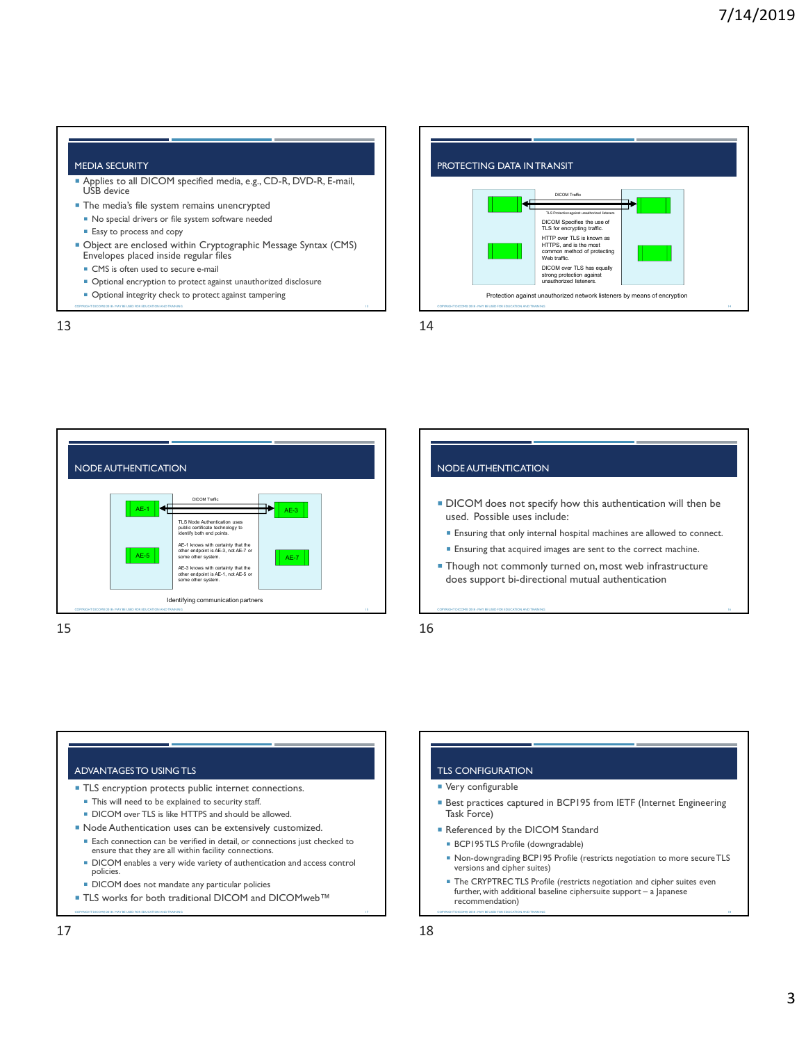#### MEDIA SECURITY

- Applies to all DICOM specified media, e.g., CD-R, DVD-R, E-mail, USB device
- **The media's file system remains unencrypted** 
	- No special drivers or file system software needed
	- **Easy** to process and copy
- Object are enclosed within Cryptographic Message Syntax (CMS) Envelopes placed inside regular files
- **CMS** is often used to secure e-mail
- Optional encryption to protect against unauthorized disclosure
- 
- 





# COPYRIGHT DISTINCTION<br>
COPYRIGHT DISTINCTION<br>
COPYRIGHT DISTINCTION<br>
COPYRIGHT DISTINCTION<br>
COPYRIGHT DISTINCTION<br>
COPYRIGHT DISTINCTION<br>
COPYRIGHT DISTINCTION<br>
COPYRIGHT DISTINCTION<br>
COPYRIGHT DISTINCTION<br>
COPYRIGHT DISTI N<br>
AE-3 **AE-3**<br>
TLE Node Authorities included:<br>
TLE Node Authorities included:<br>
ELEN INDEX due and points.<br>
AE-1, not AE-1, not AE-7 or some other system.<br>
Started and points and points.<br>
AE-7 **AE-7 AE-7 AE-7 AE-7 DICOM** does not specify how this authentication will then be used. Possible uses include: **Ensuring that only internal hospital machines are allowed to connect. Ensuring that acquired images are sent to the correct machine. Though not commonly turned on, most web infrastructure** Moderate support bi-directional mutual mutual authorities authorities authorities authorities authorities of energy and energy between the correctional mutual authorities are supported to connect.<br>
The may be used. Possibl Ensuring mat acquired images are sent to the correct machine.<br>
Fundamental baseline ciphersuite and commonly trumed on, most web infrastructure<br>
Fundamental authoritical baseline control in a Japanese support bi-directiona The Copyrince Continuously carried the contribution<br> **TLS CONFIGURATION**<br> **TEX CONFIGURATION**<br> **Example 2018 - MAY COPYRIGHT DICOM**<br> **Example 2018 - MAY BE USED FOR EXAMPLE 18 AND TRAINING 18 - MAY BE USED FOR EXAMPLE 12 P**

# ADVANTAGES TO USING TLS

- **TLS** encryption protects public internet connections.
- $\blacksquare$  This will need to be explained to security staff.
- DICOM over TLS is like HTTPS and should be allowed.
- Node Authentication uses can be extensively customized.
	- Each connection can be verified in detail, or connections just checked to ensure that they are all within facility connections.
	- DICOM enables a very wide variety of authentication and access control policies.
	- **DICOM** does not mandate any particular policies
- 

# TLS CONFIGURATION

- **Very configurable**
- **Best practices captured in BCP195 from IETF (Internet Engineering** Task Force)
- Referenced by the DICOM Standard
- BCP195 TLS Profile (downgradable)
- Non-downgrading BCP195 Profile (restricts negotiation to more secure TLS versions and cipher suites)
- DICOTTECTS for manufacture and particular policies<br>■ TLS works for both traditional DICOM and DICOMweb™ **and PICOMWeb**™ recommendation) The CRYPTREC TLS Profile (restricts negotiation and cipher suites even ADVANTAGESTO USING TLE<br>
15<br>
ADVANTAGESTO USING TLE<br>
- TLE CONNGUATION<br>
- TLE CONNGUATION<br>
- TLE CONNGUATION<br>
- TLE CONNGUATION<br>
- TLE CONNGUATION<br>
- TLE CONNGUATION<br>
- TLE CONNGUATION<br>
- TLE CONNGUATION<br>
- TLE CONNGUATIO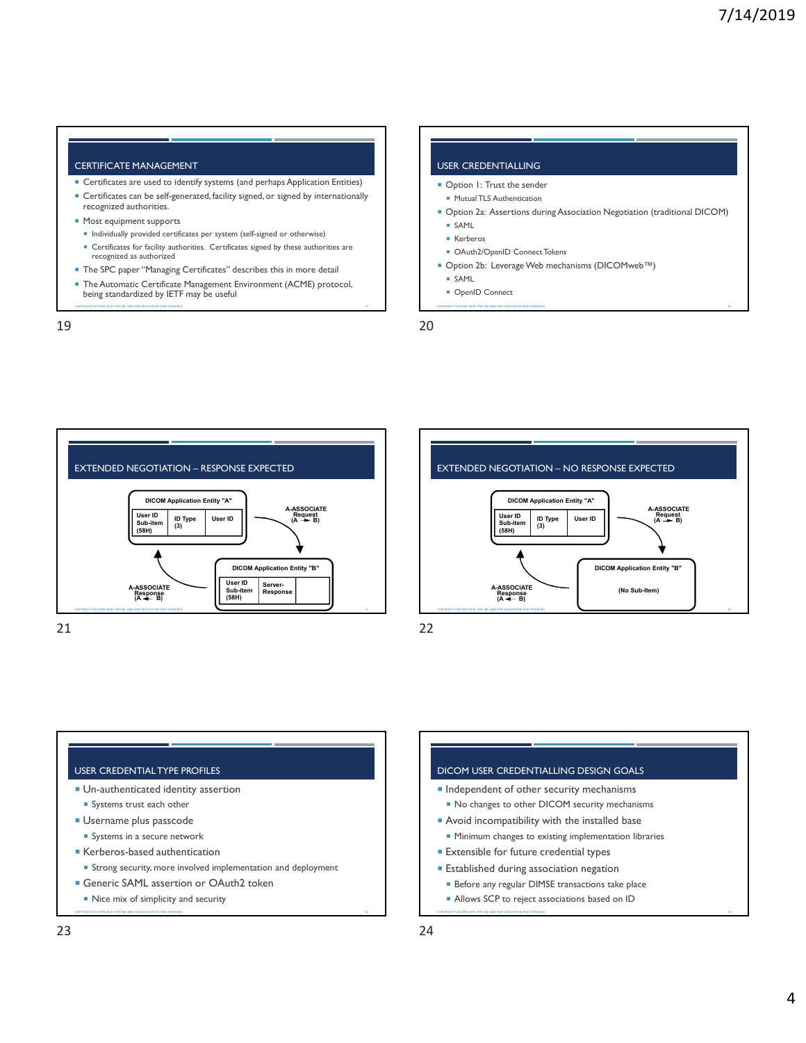#### CERTIFICATE MANAGEMENT

- Certificates are used to identify systems (and perhaps Application Entities)
- Certificates can be self-generated, facility signed, or signed by internationally recognized authorities.
- **Most equipment supports**
- Individually provided certificates per system (self-signed or otherwise)
- Certificates for facility authorities. Certificates signed by these authorities are recognized as authorized
- **The SPC paper "Managing Certificates" describes this in more detail**
- The Automatic Certificate Management Environment (ACME) protocol,<br>
being standardized by IETF may be useful<br>
being standardized by IETF may be useful



- 
- 







#### USER CREDENTIAL TYPE PROFILES

- 
- Systems trust each other
- **Username plus passcode** 
	- Systems in a secure network
- Kerberos-based authentication
	- Strong security, more involved implementation and deployment **Example 1** Established during association negation
	-
	-

# ■ Un-authenticated identity assertion and a set of the security mechanisms and the security mechanisms and the security mechanisms Generic SAML assertion or OAuth2 token **Example 2018** The sefore any regular DIMSE transactions take place CORRECTED AND ASSOCIATE CHANGE CREDIT THAILING DESIGN GOALS<br>
RESPOND TO THE USED FOR THE USED FOR EXAMPLE TO THE USED FOR THE USED FOR SURFAINING THE USED FOR SURFAINING THE EXAMPLE THAN THE SURFAINING THE SURFAINING THE S 23 24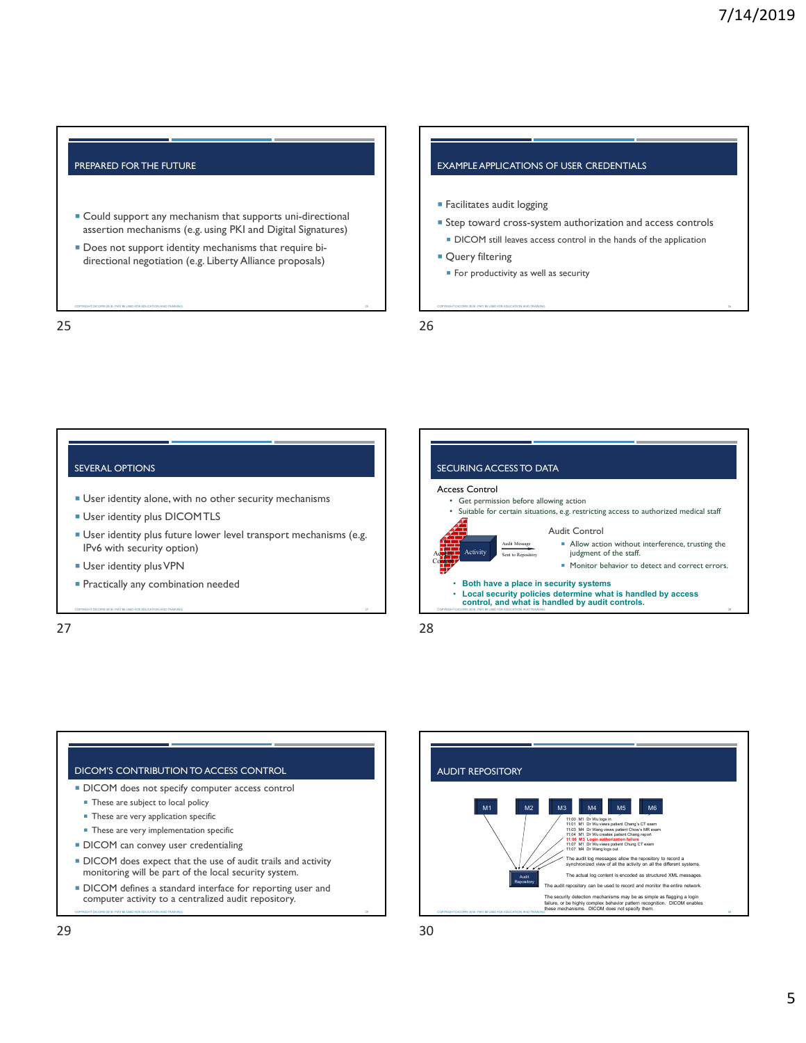#### PREPARED FOR THE FUTURE

- Could support any mechanism that supports uni-directional assertion mechanisms (e.g. using PKI and Digital Signatures) TREPARED FOR THE FUTURE<br>
COULD support any mechanism that supports uni-directional<br>
SECOPY ARE ENDER ALL THE SUPPOSE COPYRIGHT DICOM CONSIDERATION COPYRIGHT DICORS OF USER CREDENTIALS<br>
COPYRIGHT DICOR SUPPOSE AND TRAINING 25<br>
PRIPARED FOR THE FUTURE<br>
PRIPARED FOR THE FUTURE<br>
PRIPARED FOR THE FUTURE<br>
EGINERATE LEATIONS OF USER CREDENTIALS<br>
EGINERATE LEATIONS OF USER CREDENTIALS<br>
EGINERATE ATORS OF USER CREDENTIALS<br>
EGINERATE ATORS OF USER C
	- Does not support identity mechanisms that require bi-

#### EXAMPLE APPLICATIONS OF USER CREDENTIALS

- **Facilitates audit logging**
- Step toward cross-system authorization and access controls **DICOM** still leaves access control in the hands of the application THE SAPPLICATIONS OF USER CREDENTIALS<br>
Facilitates audit logging<br>
= Step toward cross-system authorization and access controls<br>
= DICOM still leaves access control in the hands of the application<br>
= Query filtering<br>
= For
- **Query filtering** 
	-

#### SEVERAL OPTIONS

- 
- **User identity plus DICOMTLS**
- User identity plus future lower level transport mechanisms (e.g. IPv6 with security option)
- **User identity plus VPN**
- 







- monitoring will be part of the local security system. **DICOM** defines a standard interface for reporting user and
-